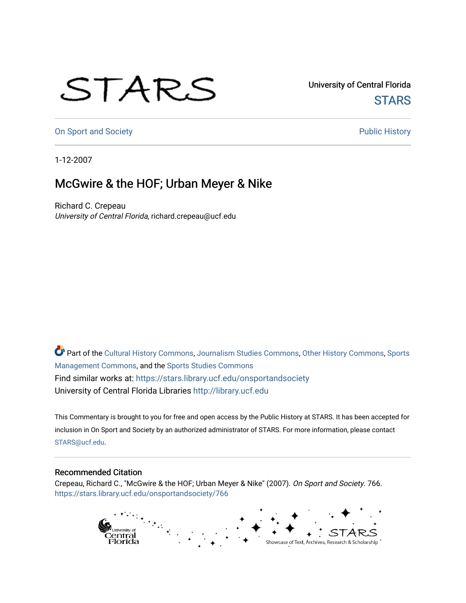## STARS

University of Central Florida **STARS** 

[On Sport and Society](https://stars.library.ucf.edu/onsportandsociety) **Public History** Public History

1-12-2007

## McGwire & the HOF; Urban Meyer & Nike

Richard C. Crepeau University of Central Florida, richard.crepeau@ucf.edu

Part of the [Cultural History Commons](http://network.bepress.com/hgg/discipline/496?utm_source=stars.library.ucf.edu%2Fonsportandsociety%2F766&utm_medium=PDF&utm_campaign=PDFCoverPages), [Journalism Studies Commons,](http://network.bepress.com/hgg/discipline/333?utm_source=stars.library.ucf.edu%2Fonsportandsociety%2F766&utm_medium=PDF&utm_campaign=PDFCoverPages) [Other History Commons,](http://network.bepress.com/hgg/discipline/508?utm_source=stars.library.ucf.edu%2Fonsportandsociety%2F766&utm_medium=PDF&utm_campaign=PDFCoverPages) [Sports](http://network.bepress.com/hgg/discipline/1193?utm_source=stars.library.ucf.edu%2Fonsportandsociety%2F766&utm_medium=PDF&utm_campaign=PDFCoverPages) [Management Commons](http://network.bepress.com/hgg/discipline/1193?utm_source=stars.library.ucf.edu%2Fonsportandsociety%2F766&utm_medium=PDF&utm_campaign=PDFCoverPages), and the [Sports Studies Commons](http://network.bepress.com/hgg/discipline/1198?utm_source=stars.library.ucf.edu%2Fonsportandsociety%2F766&utm_medium=PDF&utm_campaign=PDFCoverPages) Find similar works at: <https://stars.library.ucf.edu/onsportandsociety> University of Central Florida Libraries [http://library.ucf.edu](http://library.ucf.edu/) 

This Commentary is brought to you for free and open access by the Public History at STARS. It has been accepted for inclusion in On Sport and Society by an authorized administrator of STARS. For more information, please contact [STARS@ucf.edu](mailto:STARS@ucf.edu).

## Recommended Citation

Crepeau, Richard C., "McGwire & the HOF; Urban Meyer & Nike" (2007). On Sport and Society. 766. [https://stars.library.ucf.edu/onsportandsociety/766](https://stars.library.ucf.edu/onsportandsociety/766?utm_source=stars.library.ucf.edu%2Fonsportandsociety%2F766&utm_medium=PDF&utm_campaign=PDFCoverPages)

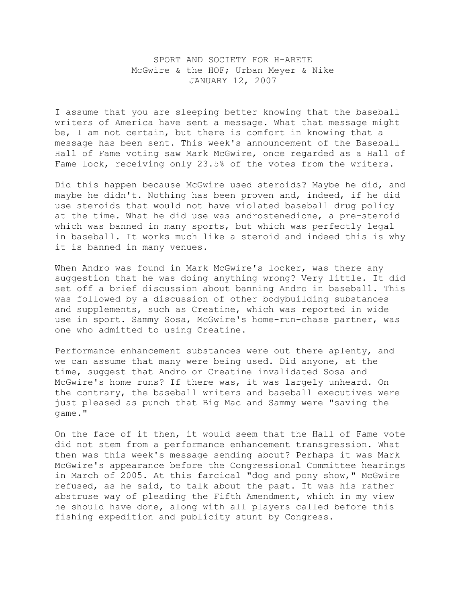## SPORT AND SOCIETY FOR H-ARETE McGwire & the HOF; Urban Meyer & Nike JANUARY 12, 2007

I assume that you are sleeping better knowing that the baseball writers of America have sent a message. What that message might be, I am not certain, but there is comfort in knowing that a message has been sent. This week's announcement of the Baseball Hall of Fame voting saw Mark McGwire, once regarded as a Hall of Fame lock, receiving only 23.5% of the votes from the writers.

Did this happen because McGwire used steroids? Maybe he did, and maybe he didn't. Nothing has been proven and, indeed, if he did use steroids that would not have violated baseball drug policy at the time. What he did use was androstenedione, a pre-steroid which was banned in many sports, but which was perfectly legal in baseball. It works much like a steroid and indeed this is why it is banned in many venues.

When Andro was found in Mark McGwire's locker, was there any suggestion that he was doing anything wrong? Very little. It did set off a brief discussion about banning Andro in baseball. This was followed by a discussion of other bodybuilding substances and supplements, such as Creatine, which was reported in wide use in sport. Sammy Sosa, McGwire's home-run-chase partner, was one who admitted to using Creatine.

Performance enhancement substances were out there aplenty, and we can assume that many were being used. Did anyone, at the time, suggest that Andro or Creatine invalidated Sosa and McGwire's home runs? If there was, it was largely unheard. On the contrary, the baseball writers and baseball executives were just pleased as punch that Big Mac and Sammy were "saving the game."

On the face of it then, it would seem that the Hall of Fame vote did not stem from a performance enhancement transgression. What then was this week's message sending about? Perhaps it was Mark McGwire's appearance before the Congressional Committee hearings in March of 2005. At this farcical "dog and pony show," McGwire refused, as he said, to talk about the past. It was his rather abstruse way of pleading the Fifth Amendment, which in my view he should have done, along with all players called before this fishing expedition and publicity stunt by Congress.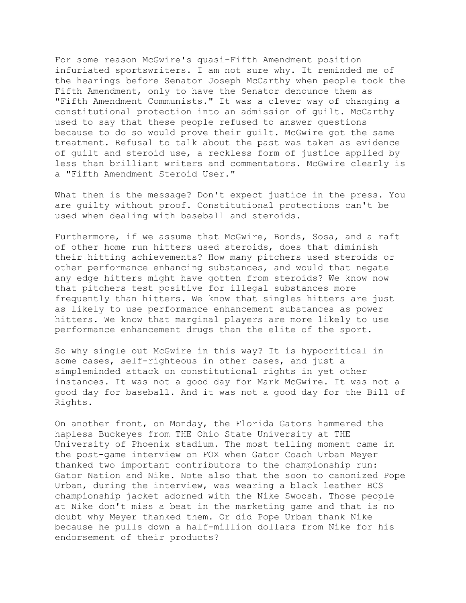For some reason McGwire's quasi-Fifth Amendment position infuriated sportswriters. I am not sure why. It reminded me of the hearings before Senator Joseph McCarthy when people took the Fifth Amendment, only to have the Senator denounce them as "Fifth Amendment Communists." It was a clever way of changing a constitutional protection into an admission of guilt. McCarthy used to say that these people refused to answer questions because to do so would prove their guilt. McGwire got the same treatment. Refusal to talk about the past was taken as evidence of guilt and steroid use, a reckless form of justice applied by less than brilliant writers and commentators. McGwire clearly is a "Fifth Amendment Steroid User."

What then is the message? Don't expect justice in the press. You are guilty without proof. Constitutional protections can't be used when dealing with baseball and steroids.

Furthermore, if we assume that McGwire, Bonds, Sosa, and a raft of other home run hitters used steroids, does that diminish their hitting achievements? How many pitchers used steroids or other performance enhancing substances, and would that negate any edge hitters might have gotten from steroids? We know now that pitchers test positive for illegal substances more frequently than hitters. We know that singles hitters are just as likely to use performance enhancement substances as power hitters. We know that marginal players are more likely to use performance enhancement drugs than the elite of the sport.

So why single out McGwire in this way? It is hypocritical in some cases, self-righteous in other cases, and just a simpleminded attack on constitutional rights in yet other instances. It was not a good day for Mark McGwire. It was not a good day for baseball. And it was not a good day for the Bill of Rights.

On another front, on Monday, the Florida Gators hammered the hapless Buckeyes from THE Ohio State University at THE University of Phoenix stadium. The most telling moment came in the post-game interview on FOX when Gator Coach Urban Meyer thanked two important contributors to the championship run: Gator Nation and Nike. Note also that the soon to canonized Pope Urban, during the interview, was wearing a black leather BCS championship jacket adorned with the Nike Swoosh. Those people at Nike don't miss a beat in the marketing game and that is no doubt why Meyer thanked them. Or did Pope Urban thank Nike because he pulls down a half-million dollars from Nike for his endorsement of their products?